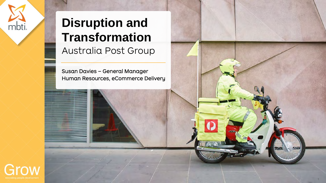# **Disruption and Transformation** Australia Post Group

Susan Davies – General Manager Human Resources, eCommerce Delivery

1



mbti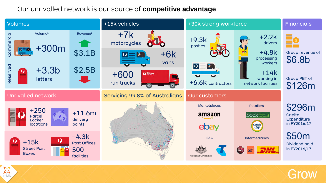### Our unrivalled network is our source of **competitive advantage**

mbti



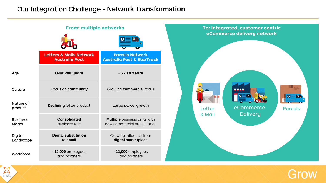### Our Integration Challenge - **Network Transformation**

**Age Culture** Nature of product **Business** Model Digital Landscape **Workforce Letters & Mails Network Australia Post** Over **208 years** Focus on **community Declining** letter product **Consolidated** business unit **Digital substitution to email** ~**19,000** employees and partners **Parcels Network Australia Post & StarTrack** ~**5 - 10 Years** Growing **commercial** focus Large parcel **growth Multiple** business units with new commercial subsidiaries Growing influence from **digital marketplace** ~**11,000** employees and partners **From: multiple networks** 

mbt



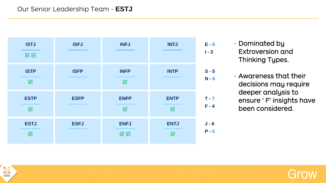### Our Senior Leadership Team - **ESTJ**

mbt

| <b>ISTJ</b>                            | <b>ISFJ</b> | <b>INFJ</b>                            | <b>INTJ</b>                            | $E - 8$            |
|----------------------------------------|-------------|----------------------------------------|----------------------------------------|--------------------|
| ☑ ☑                                    |             |                                        |                                        | $I - 3$            |
| <b>ISTP</b><br>$\overline{\mathbf{M}}$ | <b>ISFP</b> | <b>INFP</b><br>$\overline{\mathbf{M}}$ | <b>INTP</b>                            | $S - 5$<br>$N - 6$ |
| <b>ESTP</b><br>$\Delta$                | <b>ESFP</b> | <b>ENFP</b><br>$\triangledown$         | <b>ENTP</b><br>☑                       | $T - 7$<br>$F - 4$ |
| <b>ESTJ</b><br>$\Delta$                | <b>ESFJ</b> | <b>ENFJ</b><br>☑ ☑                     | <b>ENTJ</b><br>$\overline{\mathbf{M}}$ | $J - 6$<br>$P - 5$ |

- Dominated by Extroversion and Thinking Types.

- Awareness that their decisions may require deeper analysis to ensure ' F' insights have been considered.

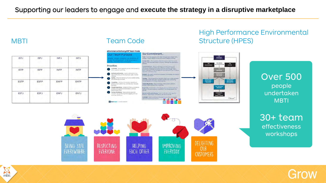mbti

| <b>ISTJ</b>               | ISFJ                             | INFJ                           | INTJ        |
|---------------------------|----------------------------------|--------------------------------|-------------|
| <b>CONTRACTOR</b><br>ISTP | <b>CONTRACTOR</b><br><b>ISFP</b> | <b>SERVICES</b><br><b>INFP</b> | <b>INTP</b> |
| ESTP                      | ESFP                             | ENFP                           | ENTP        |
| <b>ESTJ</b>               | <b>ESFJ</b>                      | <b>ENFJ</b>                    | <b>ENTJ</b> |

### eCommerce Delivery HR Team Code Our Commitment... Our Team Purpose Trust - Trust that energies in this beam reason leads. Special having engineer in midsuit deficite iffinishe dina receive fiedbork ser the court stress and court Congention - mile upto - france a second lot of the there are the thermal second second second second second second second second second second second second second second second second second second second second second s Priorities nerwords Book - Smith underword the cost cressures and arenyi: al level available (that affect our access). Published and<br>sociones / challenge accepted products to alive change. Talle (i)<br>cività appliciant to cost management and unlemmed from at effects Customer - build capability across the business to han customer centricity. Cat in this customer's phone lebwark and Service - treate administrari and Ninged - the manning prompt and pressured. Accountings and Habi about efficiency whilst growing an ogle. flexible: **Whoseler** Safety-influence benquisia to anye better estety Courage - Cor auf benomars that don't align to aur various ond how<br>pole floe model code within the beam and the male commonline<br>film de featurach of rathering whole required. switched privation of Capability - Continue to develop capability to:<br>senser a high performing, commercially focused antzualtytlevelip - Store transage, Particoate in which in-Locket Date and work from dustment Limited. People Experience - Estatism of policy, procedure the generate - Se as therefor in the way you call (and communicate with the streets). ocess and systems that enable a positive-**Andrew Bridgework** Partner Workforce - Demonstrate attack for Monitor textili and wellbeing - Creck is with extractive or<br>Rational - New Drings - perspective, Se limit to giving? tusion by connecting and engaging with put extended agaidons **THE STATE** TF STARTRACK 1 Assessment for



### High Performance Environmental MBTI Team Code Structure (HPES)

Over 500 people undertaken **MBTI** 



## 30+ team

effectiveness workshops

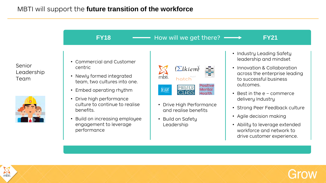### MBTI will support the **future transition of the workforce**

Senior Leadership Team



### **FY18** → How will we get there? → FY21

- Commercial and Customer centric
- Newly formed integrated team, two cultures into one.
- Embed operating rhythm
- Drive high performance culture to continue to realise benefits.
- Build on increasing employee engagement to leverage performance

|       | $(\Sigma$ lkiem) |                              |
|-------|------------------|------------------------------|
| mbti. | hotch            |                              |
|       | <b>MASTER</b>    | Positive<br>Mental<br>Health |

- Drive High Performance and realise benefits
- Build on Safety Leadership
- Industry Leading Safety leadership and mindset
- Innovation & Collaboration across the enterprise leading to successful business outcomes.
- Best in the e commerce delivery Industry
- Strong Peer Feedback culture
- Agile decision making
- Ability to leverage extended workforce and network to drive customer experience.

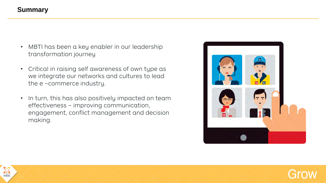### **Summary**

- MBTI has been a key enabler in our leadership transformation journey
- Critical in raising self awareness of own type as we integrate our networks and cultures to lead the e –commerce industry.
- In turn, this has also positively impacted on team effectiveness – improving communication, engagement, conflict management and decision making.